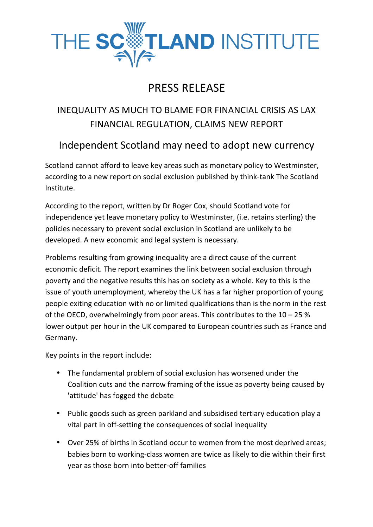

## PRESS RELEASE

## INEQUALITY AS MUCH TO BLAME FOR FINANCIAL CRISIS AS LAX FINANCIAL REGULATION, CLAIMS NEW REPORT

## Independent Scotland may need to adopt new currency

Scotland cannot afford to leave key areas such as monetary policy to Westminster, according to a new report on social exclusion published by think-tank The Scotland Institute.

According to the report, written by Dr Roger Cox, should Scotland vote for independence yet leave monetary policy to Westminster, (i.e. retains sterling) the policies necessary to prevent social exclusion in Scotland are unlikely to be developed. A new economic and legal system is necessary.

Problems resulting from growing inequality are a direct cause of the current economic deficit. The report examines the link between social exclusion through poverty and the negative results this has on society as a whole. Key to this is the issue of youth unemployment, whereby the UK has a far higher proportion of young people exiting education with no or limited qualifications than is the norm in the rest of the OECD, overwhelmingly from poor areas. This contributes to the  $10 - 25$ % lower output per hour in the UK compared to European countries such as France and Germany. 

Key points in the report include:

- The fundamental problem of social exclusion has worsened under the Coalition cuts and the narrow framing of the issue as poverty being caused by 'attitude' has fogged the debate
- Public goods such as green parkland and subsidised tertiary education play a vital part in off-setting the consequences of social inequality
- Over 25% of births in Scotland occur to women from the most deprived areas; babies born to working-class women are twice as likely to die within their first vear as those born into better-off families